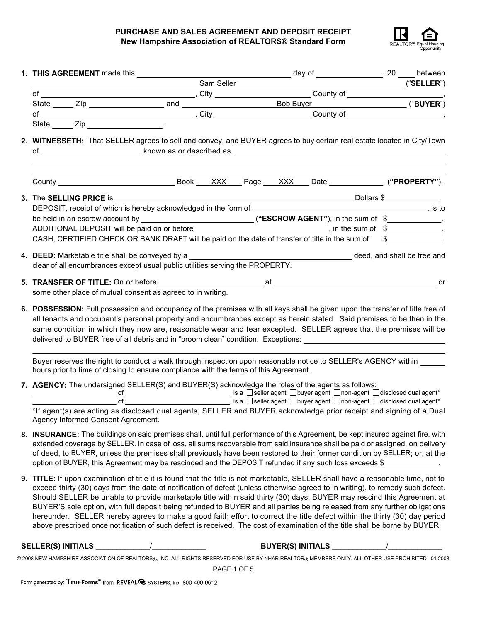

|                                                                                                                                                          |              | Exam Seller Constitution of the Constitution of the Constitution of the Constitution of the Constitution of the Constitution of the Constitution of the Constitution of the Constitution of the Constitution of the Constituti                                    |  |  |  |  |  |  |  |
|----------------------------------------------------------------------------------------------------------------------------------------------------------|--------------|-------------------------------------------------------------------------------------------------------------------------------------------------------------------------------------------------------------------------------------------------------------------|--|--|--|--|--|--|--|
|                                                                                                                                                          |              | of County of County of County of County of County of County of County of County of County of County of County of County of County of County of County of County of County of County of County of County of County of County of                                    |  |  |  |  |  |  |  |
|                                                                                                                                                          |              |                                                                                                                                                                                                                                                                   |  |  |  |  |  |  |  |
|                                                                                                                                                          |              |                                                                                                                                                                                                                                                                   |  |  |  |  |  |  |  |
|                                                                                                                                                          | State Zip 20 |                                                                                                                                                                                                                                                                   |  |  |  |  |  |  |  |
|                                                                                                                                                          |              | 2. WITNESSETH: That SELLER agrees to sell and convey, and BUYER agrees to buy certain real estate located in City/Town                                                                                                                                            |  |  |  |  |  |  |  |
|                                                                                                                                                          |              |                                                                                                                                                                                                                                                                   |  |  |  |  |  |  |  |
|                                                                                                                                                          |              | 3. The SELLING PRICE is $\overline{\phantom{a}}$                                                                                                                                                                                                                  |  |  |  |  |  |  |  |
|                                                                                                                                                          |              |                                                                                                                                                                                                                                                                   |  |  |  |  |  |  |  |
|                                                                                                                                                          |              |                                                                                                                                                                                                                                                                   |  |  |  |  |  |  |  |
|                                                                                                                                                          |              | ADDITIONAL DEPOSIT will be paid on or before __________________________________, in the sum of \$_____________.                                                                                                                                                   |  |  |  |  |  |  |  |
|                                                                                                                                                          |              | CASH, CERTIFIED CHECK OR BANK DRAFT will be paid on the date of transfer of title in the sum of \$                                                                                                                                                                |  |  |  |  |  |  |  |
|                                                                                                                                                          |              |                                                                                                                                                                                                                                                                   |  |  |  |  |  |  |  |
|                                                                                                                                                          |              |                                                                                                                                                                                                                                                                   |  |  |  |  |  |  |  |
| clear of all encumbrances except usual public utilities serving the PROPERTY.                                                                            |              |                                                                                                                                                                                                                                                                   |  |  |  |  |  |  |  |
|                                                                                                                                                          |              | 5. TRANSFER OF TITLE: On or before entertainment at the same of the state of the state of the state of the state of the state of the state of the state of the state of the state of the state of the state of the state of th                                    |  |  |  |  |  |  |  |
|                                                                                                                                                          |              | some other place of mutual consent as agreed to in writing.                                                                                                                                                                                                       |  |  |  |  |  |  |  |
| 6. POSSESSION: Full possession and occupancy of the premises with all keys shall be given upon the transfer of title free of                             |              |                                                                                                                                                                                                                                                                   |  |  |  |  |  |  |  |
| all tenants and occupant's personal property and encumbrances except as herein stated. Said premises to be then in the                                   |              |                                                                                                                                                                                                                                                                   |  |  |  |  |  |  |  |
| same condition in which they now are, reasonable wear and tear excepted. SELLER agrees that the premises will be                                         |              |                                                                                                                                                                                                                                                                   |  |  |  |  |  |  |  |
| delivered to BUYER free of all debris and in "broom clean" condition. Exceptions:                                                                        |              |                                                                                                                                                                                                                                                                   |  |  |  |  |  |  |  |
|                                                                                                                                                          |              |                                                                                                                                                                                                                                                                   |  |  |  |  |  |  |  |
| Buyer reserves the right to conduct a walk through inspection upon reasonable notice to SELLER's AGENCY within                                           |              |                                                                                                                                                                                                                                                                   |  |  |  |  |  |  |  |
| hours prior to time of closing to ensure compliance with the terms of this Agreement.                                                                    |              |                                                                                                                                                                                                                                                                   |  |  |  |  |  |  |  |
|                                                                                                                                                          |              | 7. AGENCY: The undersigned SELLER(S) and BUYER(S) acknowledge the roles of the agents as follows:                                                                                                                                                                 |  |  |  |  |  |  |  |
| <u> and</u> is a Dseller agent D buyer agent D non-agent D disclosed dual agent*                                                                         |              |                                                                                                                                                                                                                                                                   |  |  |  |  |  |  |  |
|                                                                                                                                                          |              |                                                                                                                                                                                                                                                                   |  |  |  |  |  |  |  |
| *If agent(s) are acting as disclosed dual agents, SELLER and BUYER acknowledge prior receipt and signing of a Dual<br>Agency Informed Consent Agreement. |              |                                                                                                                                                                                                                                                                   |  |  |  |  |  |  |  |
|                                                                                                                                                          |              |                                                                                                                                                                                                                                                                   |  |  |  |  |  |  |  |
|                                                                                                                                                          |              | 8. INSURANCE: The buildings on said premises shall, until full performance of this Agreement, be kept insured against fire, with<br>extended coverage by SELLER. In case of loss, all sums recoverable from said insurance shall be paid or assigned, on delivery |  |  |  |  |  |  |  |
|                                                                                                                                                          |              | of deed, to BUYER, unless the premises shall previously have been restored to their former condition by SELLER; or, at the                                                                                                                                        |  |  |  |  |  |  |  |
|                                                                                                                                                          |              | option of BUYER, this Agreement may be rescinded and the DEPOSIT refunded if any such loss exceeds \$                                                                                                                                                             |  |  |  |  |  |  |  |
|                                                                                                                                                          |              |                                                                                                                                                                                                                                                                   |  |  |  |  |  |  |  |
|                                                                                                                                                          |              | 9. TITLE: If upon examination of title it is found that the title is not marketable, SELLER shall have a reasonable time, not to                                                                                                                                  |  |  |  |  |  |  |  |

exceed thirty (30) days from the date of notification of defect (unless otherwise agreed to in writing), to remedy such defect. Should SELLER be unable to provide marketable title within said thirty (30) days, BUYER may rescind this Agreement at BUYER'S sole option, with full deposit being refunded to BUYER and all parties being released from any further obligations hereunder. SELLER hereby agrees to make a good faith effort to correct the title defect within the thirty (30) day period above prescribed once notification of such defect is received. The cost of examination of the title shall be borne by BUYER.

**SELLER(S) INITIALS** \_\_\_\_\_\_\_\_\_\_\_\_\_/\_\_\_\_\_\_\_\_\_\_\_\_\_ **BUYER(S) INITIALS** \_\_\_\_\_\_\_\_\_\_\_\_\_/\_\_\_\_\_\_\_\_\_\_\_\_\_

| © 2008 NEW HAMPSHIRE ASSOCIATION OF REALTORS®, INC. ALL RIGHTS RESERVED FOR USE BY NHAR REALTOR® MEMBERS ONLY. ALL OTHER USE PROHIBITED 01.2008 |  |  |
|-------------------------------------------------------------------------------------------------------------------------------------------------|--|--|
|                                                                                                                                                 |  |  |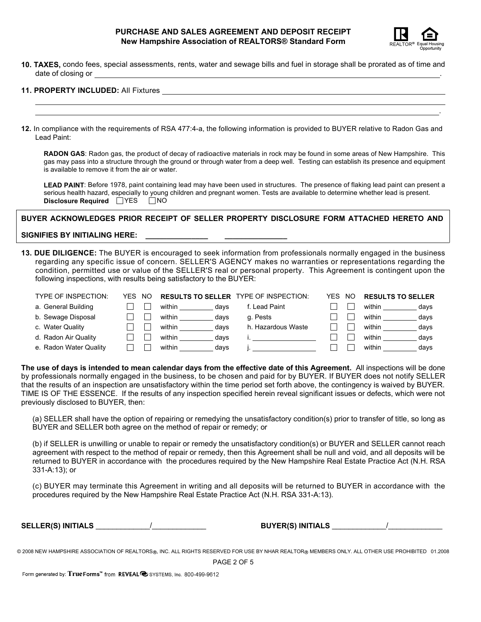

.

**10. TAXES,** condo fees, special assessments, rents, water and sewage bills and fuel in storage shall be prorated as of time and date of closing or

# **11. PROPERTY INCLUDED:** All Fixtures

**12.** In compliance with the requirements of RSA 477:4-a, the following information is provided to BUYER relative to Radon Gas and Lead Paint:

**RADON GAS**: Radon gas, the product of decay of radioactive materials in rock may be found in some areas of New Hampshire. This gas may pass into a structure through the ground or through water from a deep well. Testing can establish its presence and equipment is available to remove it from the air or water.

LEAD PAINT: Before 1978, paint containing lead may have been used in structures. The presence of flaking lead paint can present a serious health hazard, especially to young children and pregnant women. Tests are available to determine whether lead is present. **Disclosure Required**  $\Box$  YES  $\Box$  NO

# **BUYER ACKNOWLEDGES PRIOR RECEIPT OF SELLER PROPERTY DISCLOSURE FORM ATTACHED HERETO AND**

### SIGNIFIES BY INITIALING HERE:

**13. DUE DILIGENCE:** The BUYER is encouraged to seek information from professionals normally engaged in the business regarding any specific issue of concern. SELLER'S AGENCY makes no warranties or representations regarding the condition, permitted use or value of the SELLER'S real or personal property. This Agreement is contingent upon the following inspections, with results being satisfactory to the BUYER:

| <b>TYPE OF INSPECTION:</b> | YFS. | NO. |                | <b>RESULTS TO SELLER TYPE OF INSPECTION:</b> | YFS. | NO. | <b>RESULTS TO SELLER</b> |
|----------------------------|------|-----|----------------|----------------------------------------------|------|-----|--------------------------|
| a. General Building        |      |     | within<br>davs | f. Lead Paint                                |      |     | within<br>days           |
| b. Sewage Disposal         |      |     | within<br>davs | a. Pests                                     |      |     | within<br>days           |
| c. Water Quality           |      |     | within<br>davs | h. Hazardous Waste                           |      |     | within<br>days           |
| d. Radon Air Quality       |      |     | within<br>davs |                                              |      |     | within<br>days           |
| e. Radon Water Quality     |      |     | within<br>davs |                                              |      |     | within<br>days           |

**The use of days is intended to mean calendar days from the effective date of this Agreement.** All inspections will be done by professionals normally engaged in the business, to be chosen and paid for by BUYER. If BUYER does not notify SELLER that the results of an inspection are unsatisfactory within the time period set forth above, the contingency is waived by BUYER. TIME IS OF THE ESSENCE. If the results of any inspection specified herein reveal significant issues or defects, which were not previously disclosed to BUYER, then:

(a) SELLER shall have the option of repairing or remedying the unsatisfactory condition(s) prior to transfer of title, so long as BUYER and SELLER both agree on the method of repair or remedy; or

(b) if SELLER is unwilling or unable to repair or remedy the unsatisfactory condition(s) or BUYER and SELLER cannot reach agreement with respect to the method of repair or remedy, then this Agreement shall be null and void, and all deposits will be returned to BUYER in accordance with the procedures required by the New Hampshire Real Estate Practice Act (N.H. RSA 331-A:13); or

(c) BUYER may terminate this Agreement in writing and all deposits will be returned to BUYER in accordance with the procedures required by the New Hampshire Real Estate Practice Act (N.H. RSA 331-A:13).

**SELLER(S) INITIALS** \_\_\_\_\_\_\_\_\_\_\_\_\_/\_\_\_\_\_\_\_\_\_\_\_\_\_ **BUYER(S) INITIALS** \_\_\_\_\_\_\_\_\_\_\_\_\_/\_\_\_\_\_\_\_\_\_\_\_\_\_

© 2008 NEW HAMPSHIRE ASSOCIATION OF REALTORS®, INC. ALL RIGHTS RESERVED FOR USE BY NHAR REALTOR® MEMBERS ONLY. ALL OTHER USE PROHIBITED 01.2008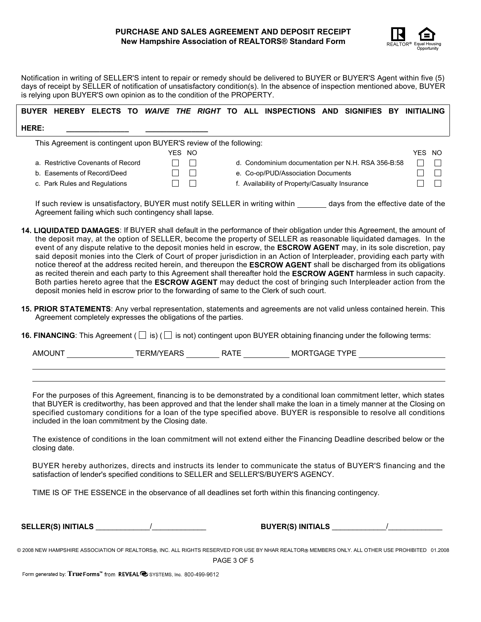

Notification in writing of SELLER'S intent to repair or remedy should be delivered to BUYER or BUYER'S Agent within five (5) days of receipt by SELLER of notification of unsatisfactory condition(s). In the absence of inspection mentioned above, BUYER is relying upon BUYER'S own opinion as to the condition of the PROPERTY.

|       |  |  |  |  | BUYER HEREBY ELECTS TO WAIVE THE RIGHT TO ALL INSPECTIONS AND SIGNIFIES BY INITIALING |  |  |
|-------|--|--|--|--|---------------------------------------------------------------------------------------|--|--|
| HERE: |  |  |  |  |                                                                                       |  |  |

This Agreement is contingent upon BUYER'S review of the following:

|                                    | YES NO       |                                                    | YES | -NC |
|------------------------------------|--------------|----------------------------------------------------|-----|-----|
| a. Restrictive Covenants of Record | $\mathbf{1}$ | d. Condominium documentation per N.H. RSA 356-B:58 |     |     |
| b. Easements of Record/Deed        |              | e. Co-op/PUD/Association Documents                 |     |     |
| c. Park Rules and Regulations      |              | f. Availability of Property/Casualty Insurance     |     |     |

If such review is unsatisfactory, BUYER must notify SELLER in writing within days from the effective date of the Agreement failing which such contingency shall lapse.

- **14. LIQUIDATED DAMAGES**: If BUYER shall default in the performance of their obligation under this Agreement, the amount of the deposit may, at the option of SELLER, become the property of SELLER as reasonable liquidated damages. In the event of any dispute relative to the deposit monies held in escrow, the **ESCROW AGENT** may, in its sole discretion, pay said deposit monies into the Clerk of Court of proper jurisdiction in an Action of Interpleader, providing each party with notice thereof at the address recited herein, and thereupon the **ESCROW AGENT** shall be discharged from its obligations as recited therein and each party to this Agreement shall thereafter hold the **ESCROW AGENT** harmless in such capacity. Both parties hereto agree that the **ESCROW AGENT** may deduct the cost of bringing such Interpleader action from the deposit monies held in escrow prior to the forwarding of same to the Clerk of such court.
- **15. PRIOR STATEMENTS**: Any verbal representation, statements and agreements are not valid unless contained herein. This Agreement completely expresses the obligations of the parties.

**16. FINANCING**: This Agreement  $(\Box$  is)  $(\Box$  is not) contingent upon BUYER obtaining financing under the following terms:

AMOUNT TERM/YEARS RATE MORTGAGE TYPE

For the purposes of this Agreement, financing is to be demonstrated by a conditional loan commitment letter, which states that BUYER is creditworthy, has been approved and that the lender shall make the loan in a timely manner at the Closing on specified customary conditions for a loan of the type specified above. BUYER is responsible to resolve all conditions included in the loan commitment by the Closing date.

The existence of conditions in the loan commitment will not extend either the Financing Deadline described below or the closing date.

BUYER hereby authorizes, directs and instructs its lender to communicate the status of BUYER'S financing and the satisfaction of lender's specified conditions to SELLER and SELLER'S/BUYER'S AGENCY.

TIME IS OF THE ESSENCE in the observance of all deadlines set forth within this financing contingency.

**SELLER(S) INITIALS** \_\_\_\_\_\_\_\_\_\_\_\_\_/\_\_\_\_\_\_\_\_\_\_\_\_\_ **BUYER(S) INITIALS** \_\_\_\_\_\_\_\_\_\_\_\_\_/\_\_\_\_\_\_\_\_\_\_\_\_\_

© 2008 NEW HAMPSHIRE ASSOCIATION OF REALTORS®, INC. ALL RIGHTS RESERVED FOR USE BY NHAR REALTOR® MEMBERS ONLY. ALL OTHER USE PROHIBITED 01.2008

PAGE 3 OF 5

Form generated by: True Forms<sup>"</sup> from REVEAL @ SYSTEMS, Inc. 800-499-9612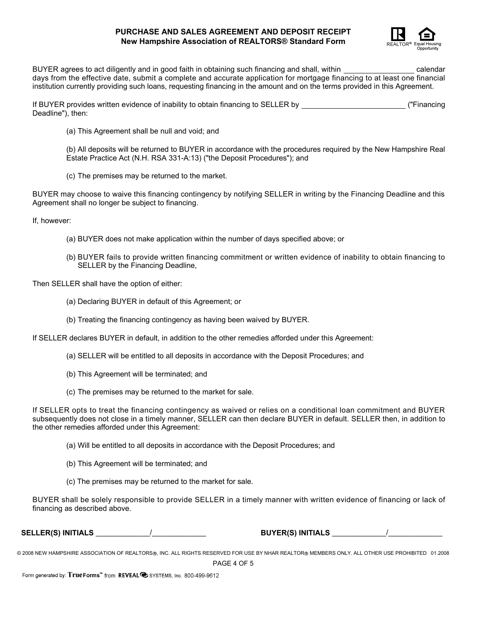

BUYER agrees to act diligently and in good faith in obtaining such financing and shall, within calendar calendar days from the effective date, submit a complete and accurate application for mortgage financing to at least one financial institution currently providing such loans, requesting financing in the amount and on the terms provided in this Agreement.

If BUYER provides written evidence of inability to obtain financing to SELLER by ("Financing Deadline"), then:

(a) This Agreement shall be null and void; and

(b) All deposits will be returned to BUYER in accordance with the procedures required by the New Hampshire Real Estate Practice Act (N.H. RSA 331-A:13) ("the Deposit Procedures"); and

(c) The premises may be returned to the market.

BUYER may choose to waive this financing contingency by notifying SELLER in writing by the Financing Deadline and this Agreement shall no longer be subject to financing.

If, however:

- (a) BUYER does not make application within the number of days specified above; or
- (b) BUYER fails to provide written financing commitment or written evidence of inability to obtain financing to SELLER by the Financing Deadline,

Then SELLER shall have the option of either:

- (a) Declaring BUYER in default of this Agreement; or
- (b) Treating the financing contingency as having been waived by BUYER.

If SELLER declares BUYER in default, in addition to the other remedies afforded under this Agreement:

- (a) SELLER will be entitled to all deposits in accordance with the Deposit Procedures; and
- (b) This Agreement will be terminated; and
- (c) The premises may be returned to the market for sale.

If SELLER opts to treat the financing contingency as waived or relies on a conditional loan commitment and BUYER subsequently does not close in a timely manner, SELLER can then declare BUYER in default. SELLER then, in addition to the other remedies afforded under this Agreement:

(a) Will be entitled to all deposits in accordance with the Deposit Procedures; and

- (b) This Agreement will be terminated; and
- (c) The premises may be returned to the market for sale.

BUYER shall be solely responsible to provide SELLER in a timely manner with written evidence of financing or lack of financing as described above.

**SELLER(S) INITIALS** \_\_\_\_\_\_\_\_\_\_\_\_\_/\_\_\_\_\_\_\_\_\_\_\_\_\_ **BUYER(S) INITIALS** \_\_\_\_\_\_\_\_\_\_\_\_\_/\_\_\_\_\_\_\_\_\_\_\_\_\_

© 2008 NEW HAMPSHIRE ASSOCIATION OF REALTORS®, INC. ALL RIGHTS RESERVED FOR USE BY NHAR REALTOR® MEMBERS ONLY. ALL OTHER USE PROHIBITED 01.2008

PAGE 4 OF 5